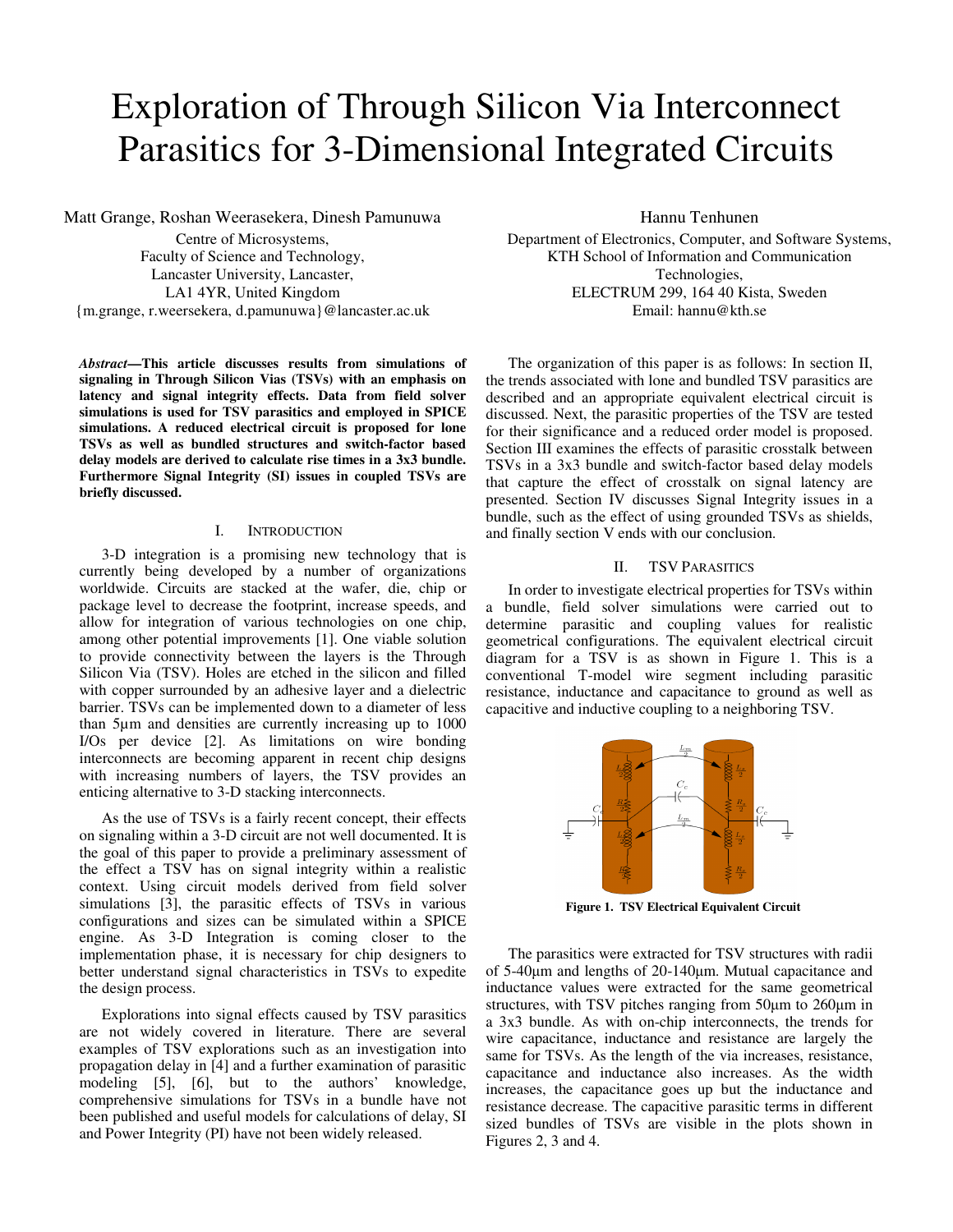# Exploration of Through Silicon Via Interconnect Parasitics for 3-Dimensional Integrated Circuits

Matt Grange, Roshan Weerasekera, Dinesh Pamunuwa

Centre of Microsystems, Faculty of Science and Technology, Lancaster University, Lancaster, LA1 4YR, United Kingdom {m.grange, r.weersekera, d.pamunuwa}@lancaster.ac.uk

*Abstract***—This article discusses results from simulations of signaling in Through Silicon Vias (TSVs) with an emphasis on latency and signal integrity effects. Data from field solver simulations is used for TSV parasitics and employed in SPICE simulations. A reduced electrical circuit is proposed for lone TSVs as well as bundled structures and switch-factor based delay models are derived to calculate rise times in a 3x3 bundle. Furthermore Signal Integrity (SI) issues in coupled TSVs are briefly discussed.** 

# I. INTRODUCTION

3-D integration is a promising new technology that is currently being developed by a number of organizations worldwide. Circuits are stacked at the wafer, die, chip or package level to decrease the footprint, increase speeds, and allow for integration of various technologies on one chip, among other potential improvements [1]. One viable solution to provide connectivity between the layers is the Through Silicon Via (TSV). Holes are etched in the silicon and filled with copper surrounded by an adhesive layer and a dielectric barrier. TSVs can be implemented down to a diameter of less than 5µm and densities are currently increasing up to 1000 I/Os per device [2]. As limitations on wire bonding interconnects are becoming apparent in recent chip designs with increasing numbers of layers, the TSV provides an enticing alternative to 3-D stacking interconnects.

As the use of TSVs is a fairly recent concept, their effects on signaling within a 3-D circuit are not well documented. It is the goal of this paper to provide a preliminary assessment of the effect a TSV has on signal integrity within a realistic context. Using circuit models derived from field solver simulations [3], the parasitic effects of TSVs in various configurations and sizes can be simulated within a SPICE engine. As 3-D Integration is coming closer to the implementation phase, it is necessary for chip designers to better understand signal characteristics in TSVs to expedite the design process.

Explorations into signal effects caused by TSV parasitics are not widely covered in literature. There are several examples of TSV explorations such as an investigation into propagation delay in [4] and a further examination of parasitic modeling [5], [6], but to the authors' knowledge, comprehensive simulations for TSVs in a bundle have not been published and useful models for calculations of delay, SI and Power Integrity (PI) have not been widely released.

Hannu Tenhunen

Department of Electronics, Computer, and Software Systems, KTH School of Information and Communication Technologies, ELECTRUM 299, 164 40 Kista, Sweden Email: hannu@kth.se

The organization of this paper is as follows: In section II, the trends associated with lone and bundled TSV parasitics are described and an appropriate equivalent electrical circuit is discussed. Next, the parasitic properties of the TSV are tested for their significance and a reduced order model is proposed. Section III examines the effects of parasitic crosstalk between TSVs in a 3x3 bundle and switch-factor based delay models that capture the effect of crosstalk on signal latency are presented. Section IV discusses Signal Integrity issues in a bundle, such as the effect of using grounded TSVs as shields, and finally section V ends with our conclusion.

# II. TSV PARASITICS

In order to investigate electrical properties for TSVs within a bundle, field solver simulations were carried out to determine parasitic and coupling values for realistic geometrical configurations. The equivalent electrical circuit diagram for a TSV is as shown in Figure 1. This is a conventional T-model wire segment including parasitic resistance, inductance and capacitance to ground as well as capacitive and inductive coupling to a neighboring TSV.



**Figure 1. TSV Electrical Equivalent Circuit** 

The parasitics were extracted for TSV structures with radii of 5-40µm and lengths of 20-140µm. Mutual capacitance and inductance values were extracted for the same geometrical structures, with TSV pitches ranging from 50µm to 260µm in a 3x3 bundle. As with on-chip interconnects, the trends for wire capacitance, inductance and resistance are largely the same for TSVs. As the length of the via increases, resistance, capacitance and inductance also increases. As the width increases, the capacitance goes up but the inductance and resistance decrease. The capacitive parasitic terms in different sized bundles of TSVs are visible in the plots shown in Figures 2, 3 and 4.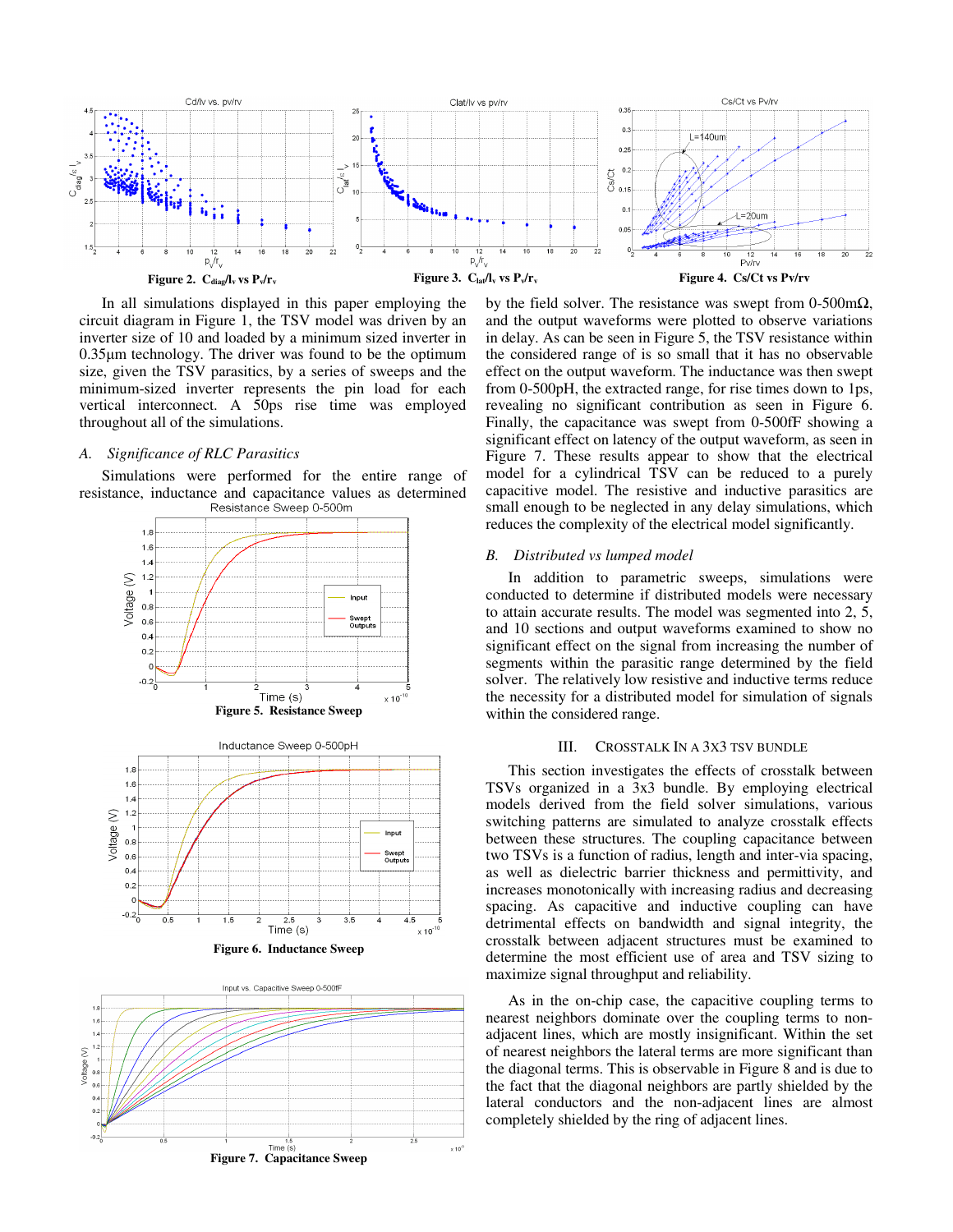

In all simulations displayed in this paper employing the circuit diagram in Figure 1, the TSV model was driven by an inverter size of 10 and loaded by a minimum sized inverter in 0.35µm technology. The driver was found to be the optimum size, given the TSV parasitics, by a series of sweeps and the minimum-sized inverter represents the pin load for each vertical interconnect. A 50ps rise time was employed throughout all of the simulations.

## *A. Significance of RLC Parasitics*

Simulations were performed for the entire range of resistance, inductance and capacitance values as determined



by the field solver. The resistance was swept from 0-500m $\Omega$ , and the output waveforms were plotted to observe variations in delay. As can be seen in Figure 5, the TSV resistance within the considered range of is so small that it has no observable effect on the output waveform. The inductance was then swept from 0-500pH, the extracted range, for rise times down to 1ps, revealing no significant contribution as seen in Figure 6. Finally, the capacitance was swept from 0-500fF showing a significant effect on latency of the output waveform, as seen in Figure 7. These results appear to show that the electrical model for a cylindrical TSV can be reduced to a purely capacitive model. The resistive and inductive parasitics are small enough to be neglected in any delay simulations, which reduces the complexity of the electrical model significantly.

## *B. Distributed vs lumped model*

In addition to parametric sweeps, simulations were conducted to determine if distributed models were necessary to attain accurate results. The model was segmented into 2, 5, and 10 sections and output waveforms examined to show no significant effect on the signal from increasing the number of segments within the parasitic range determined by the field solver. The relatively low resistive and inductive terms reduce the necessity for a distributed model for simulation of signals within the considered range.

## III. CROSSTALK IN A 3X3 TSV BUNDLE

This section investigates the effects of crosstalk between TSVs organized in a 3x3 bundle. By employing electrical models derived from the field solver simulations, various switching patterns are simulated to analyze crosstalk effects between these structures. The coupling capacitance between two TSVs is a function of radius, length and inter-via spacing, as well as dielectric barrier thickness and permittivity, and increases monotonically with increasing radius and decreasing spacing. As capacitive and inductive coupling can have detrimental effects on bandwidth and signal integrity, the crosstalk between adjacent structures must be examined to determine the most efficient use of area and TSV sizing to maximize signal throughput and reliability.

As in the on-chip case, the capacitive coupling terms to nearest neighbors dominate over the coupling terms to nonadjacent lines, which are mostly insignificant. Within the set of nearest neighbors the lateral terms are more significant than the diagonal terms. This is observable in Figure 8 and is due to the fact that the diagonal neighbors are partly shielded by the lateral conductors and the non-adjacent lines are almost completely shielded by the ring of adjacent lines.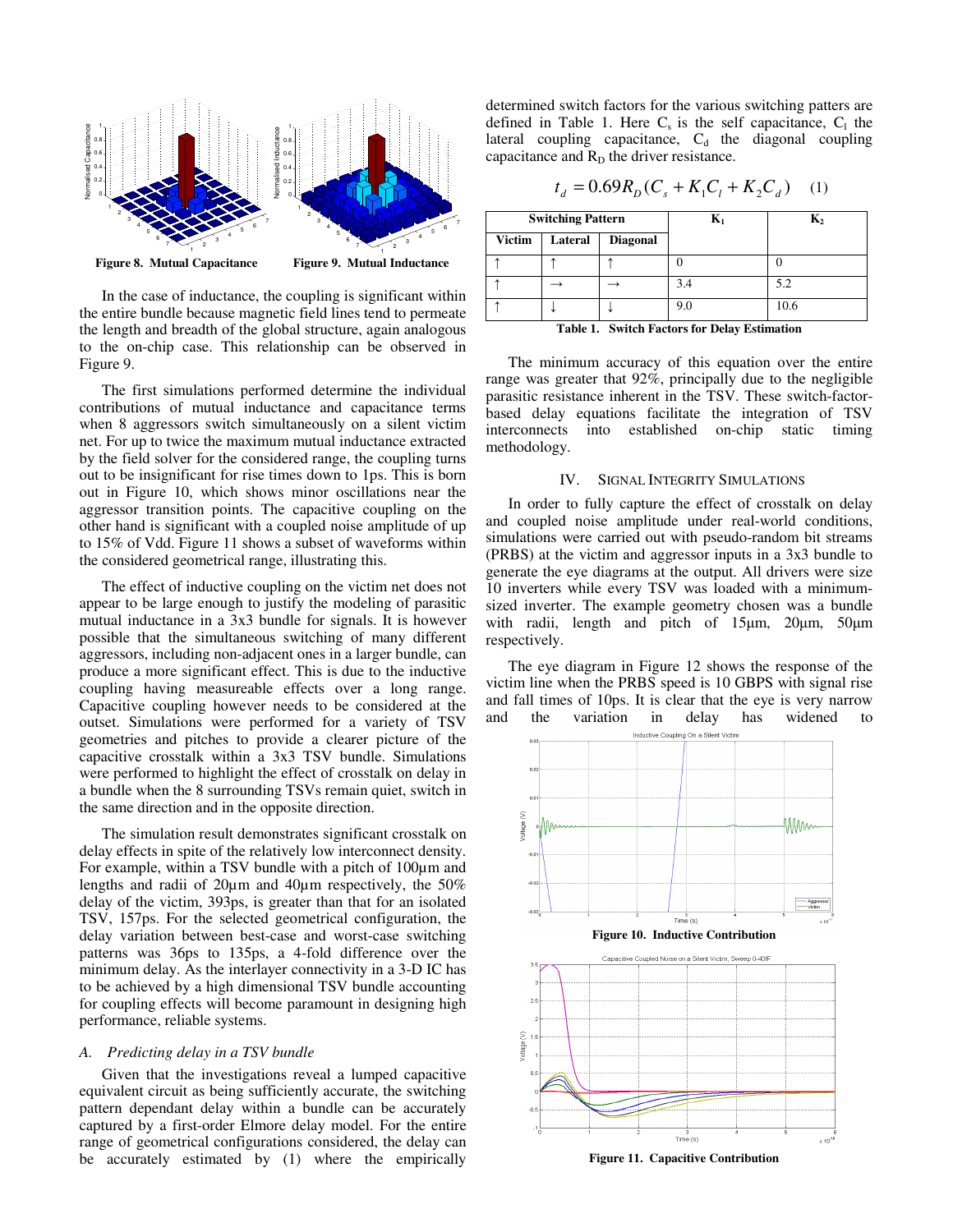

In the case of inductance, the coupling is significant within the entire bundle because magnetic field lines tend to permeate the length and breadth of the global structure, again analogous to the on-chip case. This relationship can be observed in Figure 9.

The first simulations performed determine the individual contributions of mutual inductance and capacitance terms when 8 aggressors switch simultaneously on a silent victim net. For up to twice the maximum mutual inductance extracted by the field solver for the considered range, the coupling turns out to be insignificant for rise times down to 1ps. This is born out in Figure 10, which shows minor oscillations near the aggressor transition points. The capacitive coupling on the other hand is significant with a coupled noise amplitude of up to 15% of Vdd. Figure 11 shows a subset of waveforms within the considered geometrical range, illustrating this.

The effect of inductive coupling on the victim net does not appear to be large enough to justify the modeling of parasitic mutual inductance in a 3x3 bundle for signals. It is however possible that the simultaneous switching of many different aggressors, including non-adjacent ones in a larger bundle, can produce a more significant effect. This is due to the inductive coupling having measureable effects over a long range. Capacitive coupling however needs to be considered at the outset. Simulations were performed for a variety of TSV geometries and pitches to provide a clearer picture of the capacitive crosstalk within a 3x3 TSV bundle. Simulations were performed to highlight the effect of crosstalk on delay in a bundle when the 8 surrounding TSVs remain quiet, switch in the same direction and in the opposite direction.

The simulation result demonstrates significant crosstalk on delay effects in spite of the relatively low interconnect density. For example, within a TSV bundle with a pitch of 100µm and lengths and radii of 20µm and 40µm respectively, the 50% delay of the victim, 393ps, is greater than that for an isolated TSV, 157ps. For the selected geometrical configuration, the delay variation between best-case and worst-case switching patterns was 36ps to 135ps, a 4-fold difference over the minimum delay. As the interlayer connectivity in a 3-D IC has to be achieved by a high dimensional TSV bundle accounting for coupling effects will become paramount in designing high performance, reliable systems.

# *A. Predicting delay in a TSV bundle*

Given that the investigations reveal a lumped capacitive equivalent circuit as being sufficiently accurate, the switching pattern dependant delay within a bundle can be accurately captured by a first-order Elmore delay model. For the entire range of geometrical configurations considered, the delay can be accurately estimated by (1) where the empirically determined switch factors for the various switching patters are defined in Table 1. Here  $C_s$  is the self capacitance,  $C_1$  the lateral coupling capacitance,  $C_d$  the diagonal coupling capacitance and  $R_D$  the driver resistance.

$$
t_d = 0.69R_D(C_s + K_1C_l + K_2C_d)
$$
 (1)

| <b>Switching Pattern</b>                            |         |                 | $\mathbf{K}_1$ | $\mathbf{K}_{2}$ |
|-----------------------------------------------------|---------|-----------------|----------------|------------------|
| <b>Victim</b>                                       | Lateral | <b>Diagonal</b> |                |                  |
|                                                     |         |                 |                |                  |
|                                                     |         |                 | 3.4            | 5.2              |
|                                                     |         |                 | 9.0            | 10.6             |
| <b>Table 1. Switch Factors for Delay Estimation</b> |         |                 |                |                  |

The minimum accuracy of this equation over the entire range was greater that 92%, principally due to the negligible parasitic resistance inherent in the TSV. These switch-factorbased delay equations facilitate the integration of TSV interconnects into established on-chip static timing methodology.

# IV. SIGNAL INTEGRITY SIMULATIONS

In order to fully capture the effect of crosstalk on delay and coupled noise amplitude under real-world conditions, simulations were carried out with pseudo-random bit streams (PRBS) at the victim and aggressor inputs in a 3x3 bundle to generate the eye diagrams at the output. All drivers were size 10 inverters while every TSV was loaded with a minimumsized inverter. The example geometry chosen was a bundle with radii, length and pitch of 15µm, 20µm, 50µm respectively.

The eye diagram in Figure 12 shows the response of the victim line when the PRBS speed is 10 GBPS with signal rise and fall times of 10ps. It is clear that the eye is very narrow and the variation in delay has widened to



**Figure 11. Capacitive Contribution**